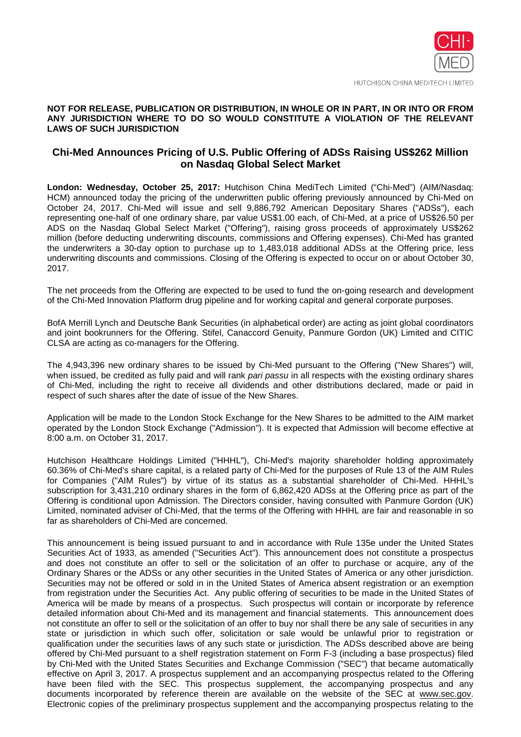

HUTCHISON CHINA MEDITECH LIMITED

### **NOT FOR RELEASE, PUBLICATION OR DISTRIBUTION, IN WHOLE OR IN PART, IN OR INTO OR FROM ANY JURISDICTION WHERE TO DO SO WOULD CONSTITUTE A VIOLATION OF THE RELEVANT LAWS OF SUCH JURISDICTION**

# **Chi-Med Announces Pricing of U.S. Public Offering of ADSs Raising US\$262 Million on Nasdaq Global Select Market**

**London: Wednesday, October 25, 2017:** Hutchison China MediTech Limited ("Chi-Med") (AIM/Nasdaq: HCM) announced today the pricing of the underwritten public offering previously announced by Chi-Med on October 24, 2017. Chi-Med will issue and sell 9,886,792 American Depositary Shares ("ADSs"), each representing one-half of one ordinary share, par value US\$1.00 each, of Chi-Med, at a price of US\$26.50 per ADS on the Nasdaq Global Select Market ("Offering"), raising gross proceeds of approximately US\$262 million (before deducting underwriting discounts, commissions and Offering expenses). Chi-Med has granted the underwriters a 30-day option to purchase up to 1,483,018 additional ADSs at the Offering price, less underwriting discounts and commissions. Closing of the Offering is expected to occur on or about October 30, 2017.

The net proceeds from the Offering are expected to be used to fund the on-going research and development of the Chi-Med Innovation Platform drug pipeline and for working capital and general corporate purposes.

BofA Merrill Lynch and Deutsche Bank Securities (in alphabetical order) are acting as joint global coordinators and joint bookrunners for the Offering. Stifel, Canaccord Genuity, Panmure Gordon (UK) Limited and CITIC CLSA are acting as co-managers for the Offering.

The 4,943,396 new ordinary shares to be issued by Chi-Med pursuant to the Offering ("New Shares") will, when issued, be credited as fully paid and will rank *pari passu* in all respects with the existing ordinary shares of Chi-Med, including the right to receive all dividends and other distributions declared, made or paid in respect of such shares after the date of issue of the New Shares.

Application will be made to the London Stock Exchange for the New Shares to be admitted to the AIM market operated by the London Stock Exchange ("Admission"). It is expected that Admission will become effective at 8:00 a.m. on October 31, 2017.

Hutchison Healthcare Holdings Limited ("HHHL"), Chi-Med's majority shareholder holding approximately 60.36% of Chi-Med's share capital, is a related party of Chi-Med for the purposes of Rule 13 of the AIM Rules for Companies ("AIM Rules") by virtue of its status as a substantial shareholder of Chi-Med. HHHL's subscription for 3,431,210 ordinary shares in the form of 6,862,420 ADSs at the Offering price as part of the Offering is conditional upon Admission. The Directors consider, having consulted with Panmure Gordon (UK) Limited, nominated adviser of Chi-Med, that the terms of the Offering with HHHL are fair and reasonable in so far as shareholders of Chi-Med are concerned.

This announcement is being issued pursuant to and in accordance with Rule 135e under the United States Securities Act of 1933, as amended ("Securities Act"). This announcement does not constitute a prospectus and does not constitute an offer to sell or the solicitation of an offer to purchase or acquire, any of the Ordinary Shares or the ADSs or any other securities in the United States of America or any other jurisdiction. Securities may not be offered or sold in in the United States of America absent registration or an exemption from registration under the Securities Act. Any public offering of securities to be made in the United States of America will be made by means of a prospectus. Such prospectus will contain or incorporate by reference detailed information about Chi-Med and its management and financial statements. This announcement does not constitute an offer to sell or the solicitation of an offer to buy nor shall there be any sale of securities in any state or jurisdiction in which such offer, solicitation or sale would be unlawful prior to registration or qualification under the securities laws of any such state or jurisdiction. The ADSs described above are being offered by Chi-Med pursuant to a shelf registration statement on Form F-3 (including a base prospectus) filed by Chi-Med with the United States Securities and Exchange Commission ("SEC") that became automatically effective on April 3, 2017. A prospectus supplement and an accompanying prospectus related to the Offering have been filed with the SEC. This prospectus supplement, the accompanying prospectus and any documents incorporated by reference therein are available on the website of the SEC at www.sec.gov. Electronic copies of the preliminary prospectus supplement and the accompanying prospectus relating to the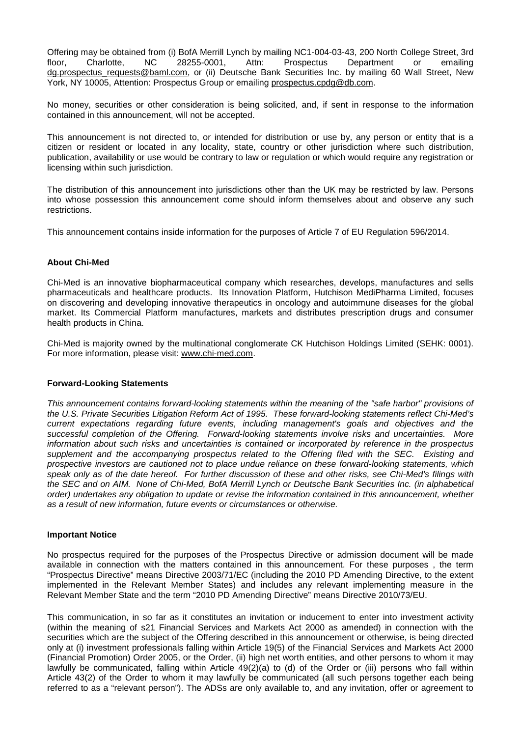Offering may be obtained from (i) BofA Merrill Lynch by mailing NC1-004-03-43, 200 North College Street, 3rd<br>floor. Charlotte. NC 28255-0001. Attn: Prospectus Department or emailing floor, Charlotte, NC 28255-0001, Attn: Prospectus Department or emailing dg.prospectus requests@baml.com, or (ii) Deutsche Bank Securities Inc. by mailing 60 Wall Street, New York, NY 10005, Attention: Prospectus Group or emailing prospectus.cpdg@db.com.

No money, securities or other consideration is being solicited, and, if sent in response to the information contained in this announcement, will not be accepted.

This announcement is not directed to, or intended for distribution or use by, any person or entity that is a citizen or resident or located in any locality, state, country or other jurisdiction where such distribution, publication, availability or use would be contrary to law or regulation or which would require any registration or licensing within such jurisdiction.

The distribution of this announcement into jurisdictions other than the UK may be restricted by law. Persons into whose possession this announcement come should inform themselves about and observe any such restrictions.

This announcement contains inside information for the purposes of Article 7 of EU Regulation 596/2014.

### **About Chi-Med**

Chi-Med is an innovative biopharmaceutical company which researches, develops, manufactures and sells pharmaceuticals and healthcare products. Its Innovation Platform, Hutchison MediPharma Limited, focuses on discovering and developing innovative therapeutics in oncology and autoimmune diseases for the global market. Its Commercial Platform manufactures, markets and distributes prescription drugs and consumer health products in China.

Chi-Med is majority owned by the multinational conglomerate CK Hutchison Holdings Limited (SEHK: 0001). For more information, please visit: www.chi-med.com.

#### **Forward-Looking Statements**

*This announcement contains forward-looking statements within the meaning of the "safe harbor" provisions of the U.S. Private Securities Litigation Reform Act of 1995. These forward-looking statements reflect Chi-Med's current expectations regarding future events, including management's goals and objectives and the successful completion of the Offering. Forward-looking statements involve risks and uncertainties. More information about such risks and uncertainties is contained or incorporated by reference in the prospectus supplement and the accompanying prospectus related to the Offering filed with the SEC. Existing and prospective investors are cautioned not to place undue reliance on these forward-looking statements, which speak only as of the date hereof. For further discussion of these and other risks, see Chi-Med's filings with the SEC and on AIM. None of Chi-Med, BofA Merrill Lynch or Deutsche Bank Securities Inc. (in alphabetical order) undertakes any obligation to update or revise the information contained in this announcement, whether as a result of new information, future events or circumstances or otherwise.* 

#### **Important Notice**

No prospectus required for the purposes of the Prospectus Directive or admission document will be made available in connection with the matters contained in this announcement. For these purposes , the term "Prospectus Directive" means Directive 2003/71/EC (including the 2010 PD Amending Directive, to the extent implemented in the Relevant Member States) and includes any relevant implementing measure in the Relevant Member State and the term "2010 PD Amending Directive" means Directive 2010/73/EU.

This communication, in so far as it constitutes an invitation or inducement to enter into investment activity (within the meaning of s21 Financial Services and Markets Act 2000 as amended) in connection with the securities which are the subject of the Offering described in this announcement or otherwise, is being directed only at (i) investment professionals falling within Article 19(5) of the Financial Services and Markets Act 2000 (Financial Promotion) Order 2005, or the Order, (ii) high net worth entities, and other persons to whom it may lawfully be communicated, falling within Article 49(2)(a) to (d) of the Order or (iii) persons who fall within Article 43(2) of the Order to whom it may lawfully be communicated (all such persons together each being referred to as a "relevant person"). The ADSs are only available to, and any invitation, offer or agreement to